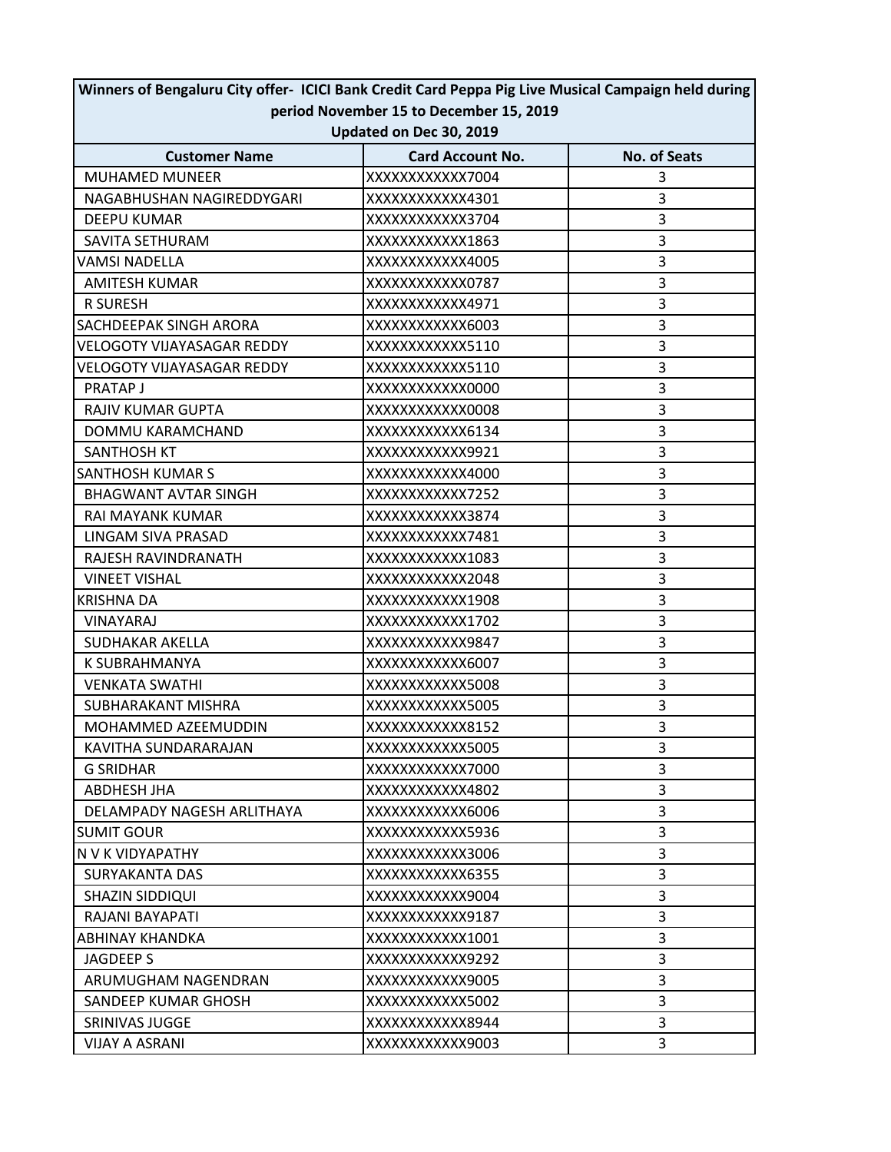| period November 15 to December 15, 2019 |                         |                     |  |  |
|-----------------------------------------|-------------------------|---------------------|--|--|
| Updated on Dec 30, 2019                 |                         |                     |  |  |
| <b>Customer Name</b>                    | <b>Card Account No.</b> | <b>No. of Seats</b> |  |  |
| <b>MUHAMED MUNEER</b>                   | XXXXXXXXXXXX7004        | 3                   |  |  |
| NAGABHUSHAN NAGIREDDYGARI               | XXXXXXXXXXX4301         | 3                   |  |  |
| <b>DEEPU KUMAR</b>                      | XXXXXXXXXXXX3704        | 3                   |  |  |
| SAVITA SETHURAM                         | XXXXXXXXXXXX1863        | 3                   |  |  |
| <b>VAMSI NADELLA</b>                    | XXXXXXXXXXX4005         | 3                   |  |  |
| <b>AMITESH KUMAR</b>                    | XXXXXXXXXXXX0787        | 3                   |  |  |
| <b>R SURESH</b>                         | XXXXXXXXXXX4971         | 3                   |  |  |
| SACHDEEPAK SINGH ARORA                  | XXXXXXXXXXXX6003        | 3                   |  |  |
| <b>VELOGOTY VIJAYASAGAR REDDY</b>       | XXXXXXXXXXXX5110        | 3                   |  |  |
| <b>VELOGOTY VIJAYASAGAR REDDY</b>       | XXXXXXXXXXXX5110        | 3                   |  |  |
| PRATAP J                                | XXXXXXXXXXXX0000        | 3                   |  |  |
| RAJIV KUMAR GUPTA                       | XXXXXXXXXXXX0008        | 3                   |  |  |
| DOMMU KARAMCHAND                        | XXXXXXXXXXXX6134        | 3                   |  |  |
| <b>SANTHOSH KT</b>                      | XXXXXXXXXXX9921         | 3                   |  |  |
| <b>SANTHOSH KUMAR S</b>                 | XXXXXXXXXXXX4000        | 3                   |  |  |
| <b>BHAGWANT AVTAR SINGH</b>             | XXXXXXXXXXXX7252        | 3                   |  |  |
| RAI MAYANK KUMAR                        | XXXXXXXXXXXX3874        | 3                   |  |  |
| LINGAM SIVA PRASAD                      | XXXXXXXXXXX7481         | 3                   |  |  |
| RAJESH RAVINDRANATH                     | XXXXXXXXXXX1083         | 3                   |  |  |
| <b>VINEET VISHAL</b>                    | XXXXXXXXXXXX2048        | 3                   |  |  |
| <b>KRISHNA DA</b>                       | XXXXXXXXXXX1908         | 3                   |  |  |
| VINAYARAJ                               | XXXXXXXXXXX1702         | 3                   |  |  |
| SUDHAKAR AKELLA                         | XXXXXXXXXXXX9847        | 3                   |  |  |
| K SUBRAHMANYA                           | XXXXXXXXXXXX6007        | 3                   |  |  |
| <b>VENKATA SWATHI</b>                   | XXXXXXXXXXXX5008        | 3                   |  |  |
| SUBHARAKANT MISHRA                      | XXXXXXXXXXXX5005        | 3                   |  |  |
| MOHAMMED AZEEMUDDIN                     | XXXXXXXXXXXX8152        | $\overline{3}$      |  |  |
| KAVITHA SUNDARARAJAN                    | XXXXXXXXXXXX5005        | 3                   |  |  |
| <b>G SRIDHAR</b>                        | XXXXXXXXXXXX7000        | 3                   |  |  |
| ABDHESH JHA                             | XXXXXXXXXXX4802         | 3                   |  |  |
| DELAMPADY NAGESH ARLITHAYA              | XXXXXXXXXXXX6006        | 3                   |  |  |
| <b>SUMIT GOUR</b>                       | XXXXXXXXXXXX5936        | 3                   |  |  |
| N V K VIDYAPATHY                        | XXXXXXXXXXXX3006        | 3                   |  |  |
| <b>SURYAKANTA DAS</b>                   | XXXXXXXXXXXX6355        | 3                   |  |  |
| SHAZIN SIDDIQUI                         | XXXXXXXXXXX9004         | 3                   |  |  |
| RAJANI BAYAPATI                         | XXXXXXXXXXXX9187        | 3                   |  |  |
| ABHINAY KHANDKA                         | XXXXXXXXXXX1001         | 3                   |  |  |
| <b>JAGDEEP S</b>                        | XXXXXXXXXXXX9292        | 3                   |  |  |
| ARUMUGHAM NAGENDRAN                     | XXXXXXXXXXX9005         | 3                   |  |  |
| SANDEEP KUMAR GHOSH                     | XXXXXXXXXXXX5002        | 3                   |  |  |
| <b>SRINIVAS JUGGE</b>                   | XXXXXXXXXXXX8944        | 3                   |  |  |
| <b>VIJAY A ASRANI</b>                   | XXXXXXXXXXX9003         | $\overline{3}$      |  |  |